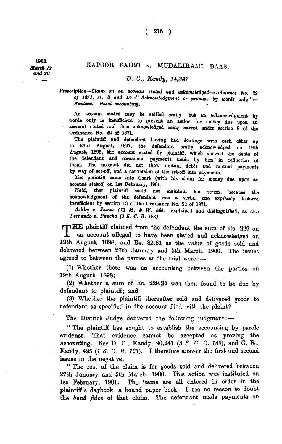1903. *March 12 and 20* 

## KAPOOR SAIBO v. MUDALIHAMI BAAS.

## *D. 0., Kandy, li,387.*

*Prescription—Claim on an account stated and acknowledged—Ordinance No. 22 of 1871, ss. 8 and 13—\*' Acknowledgment or promise by words only " Evidence—Parol accounting.* 

An account stated may be settled orally; but an acknowledgment by words only is insufficient to prevent an action for money due upon an account stated and thus acknowledged being barred under section 9 of the Ordinance No. 22 of 1871.

The plaintiff and defendant having had dealings with each other up to 23rd August, 1897, the defendant orally acknowledged on 19th August, 1898, the account stated by plaintiff, which showed the debts of the defendant and occasional payments made by him in reduction of them. The account did not show mutual debts and mutual payments by way of set-off, and a conversion of the set-off into payments.

The plaintiff came into Court (with his claim for money due upon an account stated) on 1st February, 1901.

*Held,* that plaintiff could not maintain his action, because the acknowledgment of the defendant was a verbal one expressly declared insufficient by section 13 of the Ordinance No. 22 of 1871.

*Ashby ». James (11 M. A W. 544),* explained and distinguished, as also *Fernando v. Puncha (1 S. C. R. 123).* 

THE plaintiff claimed from the defendant the sum of Rs. 229 on an account alleged to have been stated and acknowledged on an account alleged to have been stated and acknowledged on 19th August, 1898, and Rs. 82.81 as the value of goods sold and delivered between 27th January and 5th March, 1900. The issues agreed to between the parties at the trial were: —

(1) Whether there was an accounting between the parties on 19th August, 1898;

(2) Whether a sum of Rs. 229.24 was then found to be due by defendant to plaintiff; and

(3) Whether the plaintiff thereafter sold and delivered goods to defendant as specified in the account filed with the plaint?

The District Judge delivered the following judgment:-

" The plaintiff has sought to establish the accounting by parole evidence. That evidence cannot be accepted as proving the accounting. See D. C., Kandy, 90,241 (5 S. C. C. 169), and C. R., Kandy, 425 *(IS. C. R. 123).* I therefore answer the first and second issues in the negative.

" The rest of the claim is for goods sold and delivered between 27th January and 5th March, 1900. This action was instituted on 1st February, 1901. The items are all entered in order in the plaintiff's daybook, a bound paper book. I see no reason to doubt the *bond fides* of that claim. The defendant made payments on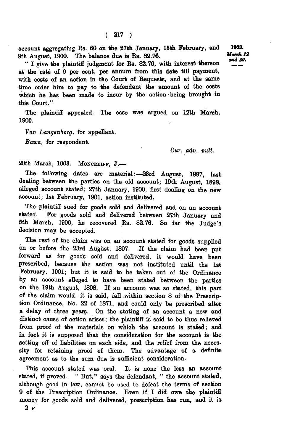account aggregating Rs. 60 on the 27th January, 15th February, and 9th August, 1900. The balance due is Rs. 82.76.

" I give the plaintiff judgment for Rs. 82.76, with interest thereon at the rate of 9 per cent, per annum from this date till payment, with costs of an action in the Court of Requests, and at the same time order him to pay to the defendant the amount of the costs which he has been made to incur by the action being brought in this Court. "

The plaintiff appealed. The case was argued on 12th March, 1903.

*Van Langenberg,* for appellant.

*Bawa,* for respondent.

*Cur. adv. vult.* 

20th March, 1903. MONCREIFF, J.—

The following dates are material:—23rd August, 1897, lastdealing between the parties on the old account; 19th August, 1898, alleged account stated; 27th January, 1900, first dealing on the new account; 1st February, 1901, action instituted.

The plaintiff sued for goods sold and delivered and on an account stated. For goods sold and delivered between 27th January and 5th March, 1900, he recovered Rs. 82.76. So far the Judge's decision may be accepted.

The rest of the claim was on an account stated for goods supplied on or before the 23rd August, 1897. If the claim had been put forward as for goods sold and delivered, it would have been prescribed, because the action was not instituted until the 1st February, 1901; but it is said to be taken out of the Ordinance by an account alleged to have been stated between the parties on the 19th August, 1898. If an account was so stated, this part of the claim would, it is said, fall within section 8 of the Prescription Ordinance, No. 22 of 1871, and could only be prescribed after a delay of three years. On the stating of an account a new and distinct cause of action arises; the plaintiff is said to be thus relieved from proof of the materials on which the account is stated; and in fact it is supposed that the consideration for the account is the setting off of liabilities on each side, and the relief from the necessity for retaining proof of them. The advantage of a definite agreement as to the sum due is sufficient consideration.

This account stated was oral. It is none the less an account stated, if proved. " But," says the defendant, " the account stated, although good in law, cannot be used to defeat the terms of section 9 of the Prescription Ordinance. Even if I did owe the plaintiff money for goods sold and delivered, prescription has run, and it is 2 F

1908. *March IS and 20.*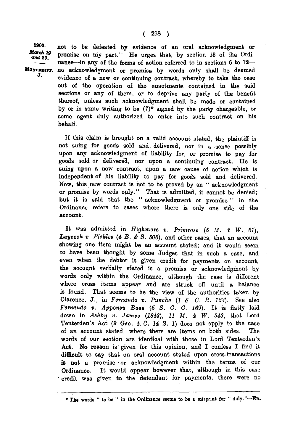1903. not to be defeated by evidence of an oral acknowledgment or March 12 promise on my part." He urges that, by section 13 of the Ordiand 20. nance—in any of the forms of action referred to in sections 6 to 12— MONCREIPF. no acknowledgment or promise by words only shall be deemed J. evidence of a new or continuing contract, whereby to take the case out of the operation of the enactments contained in the said sections or any of them, or to deprive any party of the benefit thereof, unless such acknowledgment shall be made or contained by or in some writing to be  $(?)^*$  signed by the party chargeable, or some agent duly authorized to enter into such contract on his behalf.

> If this claim is brought on a valid account stated, the plaintiff is not suing for goods sold and delivered, nor in **a** sense possibly upon any acknowledgment of liability for, or promise to pay for goods sold or delivered, nor upon a continuing contract. He is suing upon a new contract, upon a new cause of action which is independent of his liability to pay for goods sold and delivered. Now, this new contract is not to be proved by an " acknowledgment or promise by words only." That is admitted, it cannot be denied; but it is said that the " acknowledgment or promise " in the Ordinance refers to cases where there is **only** one side of the account.

It was admitted in *High-more v. Primrose (5 M. &* W\_ *67),*  Laycock v. Pickles (4 B. & S. 506), and other cases, that an account showing one item might be an account stated; and it would seem to have been thought by some Judges that in such **a** case, and even when the debtor is given credit for payments **on** account, the account verbally stated is a promise or acknowledgment by words only within the Ordinance, although **the case is** different where cross items appear and are struck **off** until **a** balance is found. That seems to be the view of **the** authorities **taKen** by Clarence, J., in *Fernando v. Puncha (1 S. G. R. 123).* See also *Fernando v. Apponsu Baas (5 8. G. G. 169).* It **is** flatly laid down in *Ashby v. James (1843), 11 M. & W. 543,* **that** Lord Tenterden's Act (9 Geo. 4. C. 14 S. 1) does not apply to the case of an account stated, where there are items **on** both sides. The words of our section are identical with those in Lord Tenterden's Act. No reason is given for this opinion, and I confess I find it difficult to say that on oral account stated upon cross-transactions is not a promise or acknowledgment **within** the terms **of** our Ordinance. It would appear however that, although in this **case**  credit was given to the defendant for payments, there were **no** 

<sup>•</sup> The words " to be " in the Ordinance seems to be a misprint for " duly."—ED.